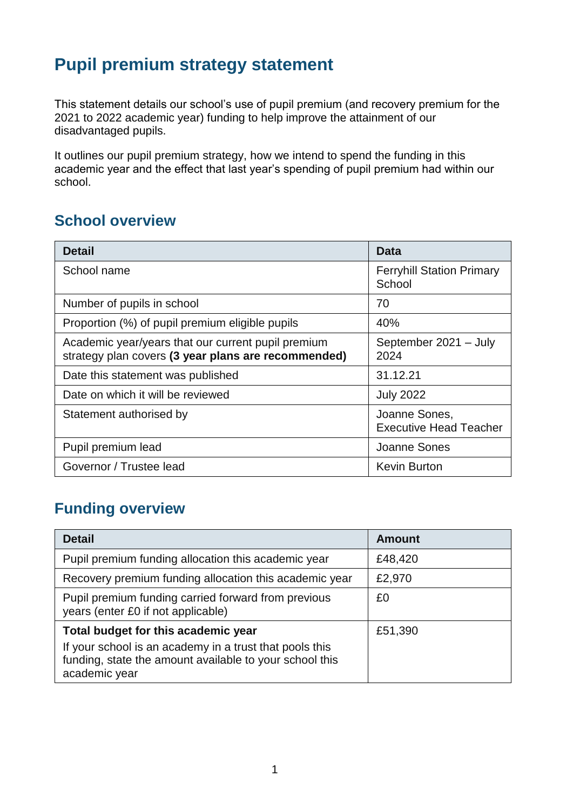# **Pupil premium strategy statement**

This statement details our school's use of pupil premium (and recovery premium for the 2021 to 2022 academic year) funding to help improve the attainment of our disadvantaged pupils.

It outlines our pupil premium strategy, how we intend to spend the funding in this academic year and the effect that last year's spending of pupil premium had within our school.

### **School overview**

| <b>Detail</b>                                                                                             | Data                                           |
|-----------------------------------------------------------------------------------------------------------|------------------------------------------------|
| School name                                                                                               | <b>Ferryhill Station Primary</b><br>School     |
| Number of pupils in school                                                                                | 70                                             |
| Proportion (%) of pupil premium eligible pupils                                                           | 40%                                            |
| Academic year/years that our current pupil premium<br>strategy plan covers (3 year plans are recommended) | September 2021 - July<br>2024                  |
| Date this statement was published                                                                         | 31.12.21                                       |
| Date on which it will be reviewed                                                                         | <b>July 2022</b>                               |
| Statement authorised by                                                                                   | Joanne Sones,<br><b>Executive Head Teacher</b> |
| Pupil premium lead                                                                                        | Joanne Sones                                   |
| Governor / Trustee lead                                                                                   | <b>Kevin Burton</b>                            |

## **Funding overview**

| <b>Detail</b>                                                                                                                                                              | <b>Amount</b> |
|----------------------------------------------------------------------------------------------------------------------------------------------------------------------------|---------------|
| Pupil premium funding allocation this academic year                                                                                                                        | £48,420       |
| Recovery premium funding allocation this academic year                                                                                                                     | £2,970        |
| Pupil premium funding carried forward from previous<br>years (enter £0 if not applicable)                                                                                  | £0            |
| Total budget for this academic year<br>If your school is an academy in a trust that pools this<br>funding, state the amount available to your school this<br>academic year | £51,390       |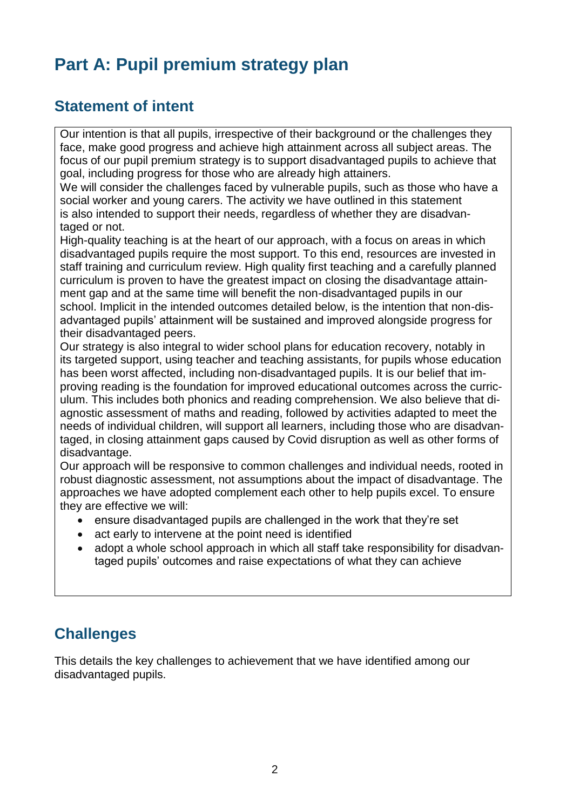# **Part A: Pupil premium strategy plan**

#### **Statement of intent**

Our intention is that all pupils, irrespective of their background or the challenges they face, make good progress and achieve high attainment across all subject areas. The focus of our pupil premium strategy is to support disadvantaged pupils to achieve that goal, including progress for those who are already high attainers.

We will consider the challenges faced by vulnerable pupils, such as those who have a social worker and young carers. The activity we have outlined in this statement is also intended to support their needs, regardless of whether they are disadvantaged or not.

High-quality teaching is at the heart of our approach, with a focus on areas in which disadvantaged pupils require the most support. To this end, resources are invested in staff training and curriculum review. High quality first teaching and a carefully planned curriculum is proven to have the greatest impact on closing the disadvantage attainment gap and at the same time will benefit the non-disadvantaged pupils in our school. Implicit in the intended outcomes detailed below, is the intention that non-disadvantaged pupils' attainment will be sustained and improved alongside progress for their disadvantaged peers.

Our strategy is also integral to wider school plans for education recovery, notably in its targeted support, using teacher and teaching assistants, for pupils whose education has been worst affected, including non-disadvantaged pupils. It is our belief that improving reading is the foundation for improved educational outcomes across the curriculum. This includes both phonics and reading comprehension. We also believe that diagnostic assessment of maths and reading, followed by activities adapted to meet the needs of individual children, will support all learners, including those who are disadvantaged, in closing attainment gaps caused by Covid disruption as well as other forms of disadvantage.

Our approach will be responsive to common challenges and individual needs, rooted in robust diagnostic assessment, not assumptions about the impact of disadvantage. The approaches we have adopted complement each other to help pupils excel. To ensure they are effective we will:

- ensure disadvantaged pupils are challenged in the work that they're set
- act early to intervene at the point need is identified
- adopt a whole school approach in which all staff take responsibility for disadvantaged pupils' outcomes and raise expectations of what they can achieve

#### **Challenges**

This details the key challenges to achievement that we have identified among our disadvantaged pupils.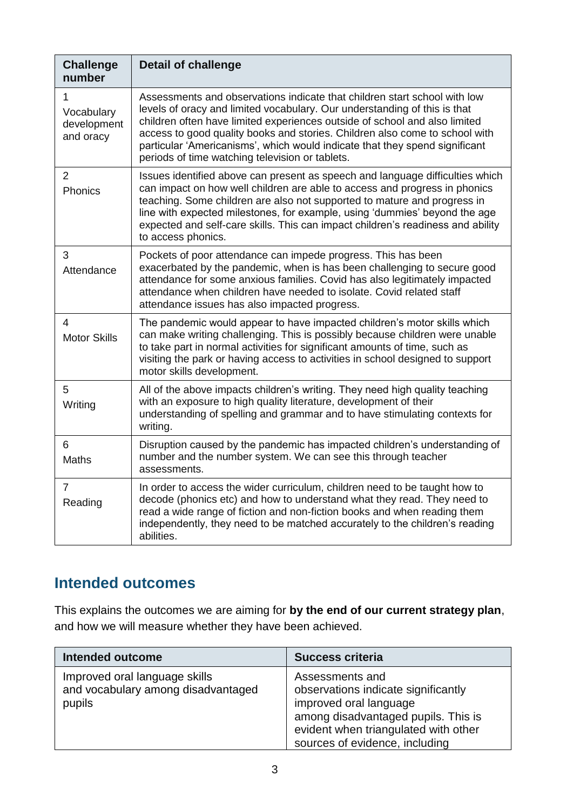| <b>Challenge</b><br>number                  | <b>Detail of challenge</b>                                                                                                                                                                                                                                                                                                                                                                                                                            |
|---------------------------------------------|-------------------------------------------------------------------------------------------------------------------------------------------------------------------------------------------------------------------------------------------------------------------------------------------------------------------------------------------------------------------------------------------------------------------------------------------------------|
| 1<br>Vocabulary<br>development<br>and oracy | Assessments and observations indicate that children start school with low<br>levels of oracy and limited vocabulary. Our understanding of this is that<br>children often have limited experiences outside of school and also limited<br>access to good quality books and stories. Children also come to school with<br>particular 'Americanisms', which would indicate that they spend significant<br>periods of time watching television or tablets. |
| $\overline{2}$<br>Phonics                   | Issues identified above can present as speech and language difficulties which<br>can impact on how well children are able to access and progress in phonics<br>teaching. Some children are also not supported to mature and progress in<br>line with expected milestones, for example, using 'dummies' beyond the age<br>expected and self-care skills. This can impact children's readiness and ability<br>to access phonics.                        |
| 3<br>Attendance                             | Pockets of poor attendance can impede progress. This has been<br>exacerbated by the pandemic, when is has been challenging to secure good<br>attendance for some anxious families. Covid has also legitimately impacted<br>attendance when children have needed to isolate. Covid related staff<br>attendance issues has also impacted progress.                                                                                                      |
| 4<br><b>Motor Skills</b>                    | The pandemic would appear to have impacted children's motor skills which<br>can make writing challenging. This is possibly because children were unable<br>to take part in normal activities for significant amounts of time, such as<br>visiting the park or having access to activities in school designed to support<br>motor skills development.                                                                                                  |
| 5<br>Writing                                | All of the above impacts children's writing. They need high quality teaching<br>with an exposure to high quality literature, development of their<br>understanding of spelling and grammar and to have stimulating contexts for<br>writing.                                                                                                                                                                                                           |
| 6<br>Maths                                  | Disruption caused by the pandemic has impacted children's understanding of<br>number and the number system. We can see this through teacher<br>assessments.                                                                                                                                                                                                                                                                                           |
| $\overline{7}$<br>Reading                   | In order to access the wider curriculum, children need to be taught how to<br>decode (phonics etc) and how to understand what they read. They need to<br>read a wide range of fiction and non-fiction books and when reading them<br>independently, they need to be matched accurately to the children's reading<br>abilities.                                                                                                                        |

# **Intended outcomes**

This explains the outcomes we are aiming for **by the end of our current strategy plan**, and how we will measure whether they have been achieved.

| <b>Intended outcome</b>                                                       | <b>Success criteria</b>                                                                                                                                                                           |
|-------------------------------------------------------------------------------|---------------------------------------------------------------------------------------------------------------------------------------------------------------------------------------------------|
| Improved oral language skills<br>and vocabulary among disadvantaged<br>pupils | Assessments and<br>observations indicate significantly<br>improved oral language<br>among disadvantaged pupils. This is<br>evident when triangulated with other<br>sources of evidence, including |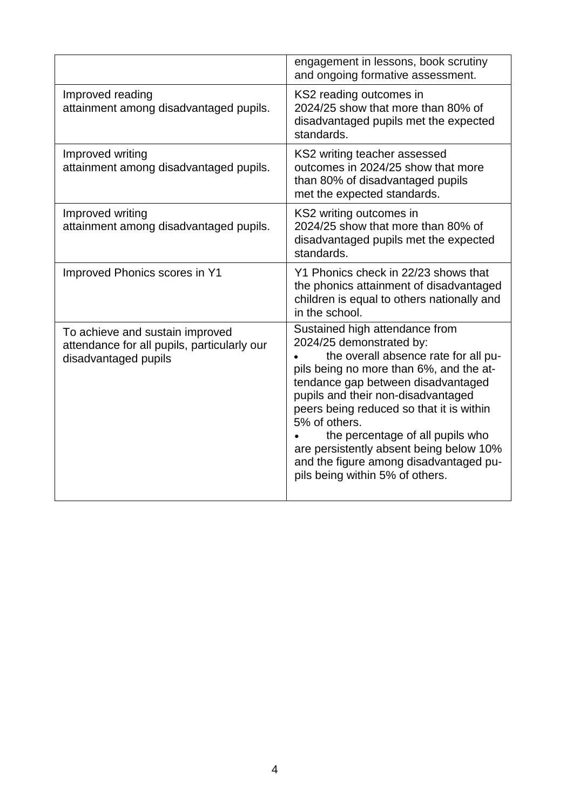|                                                                                                        | engagement in lessons, book scrutiny<br>and ongoing formative assessment.                                                                                                                                                                                                                                                                                                                                                                          |
|--------------------------------------------------------------------------------------------------------|----------------------------------------------------------------------------------------------------------------------------------------------------------------------------------------------------------------------------------------------------------------------------------------------------------------------------------------------------------------------------------------------------------------------------------------------------|
| Improved reading<br>attainment among disadvantaged pupils.                                             | KS2 reading outcomes in<br>2024/25 show that more than 80% of<br>disadvantaged pupils met the expected<br>standards.                                                                                                                                                                                                                                                                                                                               |
| Improved writing<br>attainment among disadvantaged pupils.                                             | KS2 writing teacher assessed<br>outcomes in 2024/25 show that more<br>than 80% of disadvantaged pupils<br>met the expected standards.                                                                                                                                                                                                                                                                                                              |
| Improved writing<br>attainment among disadvantaged pupils.                                             | KS2 writing outcomes in<br>2024/25 show that more than 80% of<br>disadvantaged pupils met the expected<br>standards.                                                                                                                                                                                                                                                                                                                               |
| Improved Phonics scores in Y1                                                                          | Y1 Phonics check in 22/23 shows that<br>the phonics attainment of disadvantaged<br>children is equal to others nationally and<br>in the school.                                                                                                                                                                                                                                                                                                    |
| To achieve and sustain improved<br>attendance for all pupils, particularly our<br>disadvantaged pupils | Sustained high attendance from<br>2024/25 demonstrated by:<br>the overall absence rate for all pu-<br>pils being no more than 6%, and the at-<br>tendance gap between disadvantaged<br>pupils and their non-disadvantaged<br>peers being reduced so that it is within<br>5% of others.<br>the percentage of all pupils who<br>are persistently absent being below 10%<br>and the figure among disadvantaged pu-<br>pils being within 5% of others. |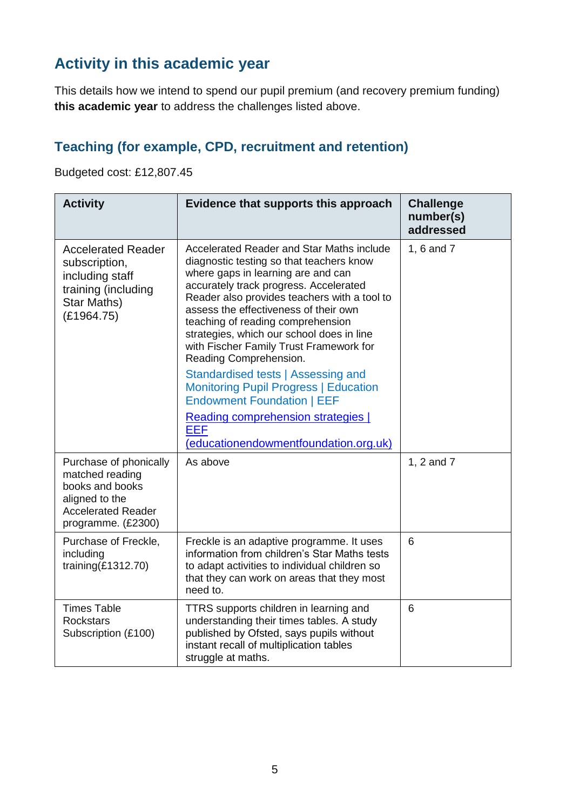# **Activity in this academic year**

This details how we intend to spend our pupil premium (and recovery premium funding) **this academic year** to address the challenges listed above.

## **Teaching (for example, CPD, recruitment and retention)**

Budgeted cost: £12,807.45

| <b>Activity</b>                                                                                                                   | Evidence that supports this approach                                                                                                                                                                                                                                                                                                                                                                                                                                                                                                                                                                                                          | <b>Challenge</b><br>number(s)<br>addressed |
|-----------------------------------------------------------------------------------------------------------------------------------|-----------------------------------------------------------------------------------------------------------------------------------------------------------------------------------------------------------------------------------------------------------------------------------------------------------------------------------------------------------------------------------------------------------------------------------------------------------------------------------------------------------------------------------------------------------------------------------------------------------------------------------------------|--------------------------------------------|
| <b>Accelerated Reader</b><br>subscription,<br>including staff<br>training (including<br>Star Maths)<br>(E1964.75)                 | Accelerated Reader and Star Maths include<br>diagnostic testing so that teachers know<br>where gaps in learning are and can<br>accurately track progress. Accelerated<br>Reader also provides teachers with a tool to<br>assess the effectiveness of their own<br>teaching of reading comprehension<br>strategies, which our school does in line<br>with Fischer Family Trust Framework for<br>Reading Comprehension.<br>Standardised tests   Assessing and<br><b>Monitoring Pupil Progress   Education</b><br><b>Endowment Foundation   EEF</b><br>Reading comprehension strategies  <br><b>EEF</b><br>(educationendowmentfoundation.org.uk) | 1, 6 and 7                                 |
| Purchase of phonically<br>matched reading<br>books and books<br>aligned to the<br><b>Accelerated Reader</b><br>programme. (£2300) | As above                                                                                                                                                                                                                                                                                                                                                                                                                                                                                                                                                                                                                                      | 1, 2 and 7                                 |
| Purchase of Freckle,<br>including<br>training $(E1312.70)$                                                                        | Freckle is an adaptive programme. It uses<br>information from children's Star Maths tests<br>to adapt activities to individual children so<br>that they can work on areas that they most<br>need to.                                                                                                                                                                                                                                                                                                                                                                                                                                          | 6                                          |
| <b>Times Table</b><br><b>Rockstars</b><br>Subscription (£100)                                                                     | TTRS supports children in learning and<br>understanding their times tables. A study<br>published by Ofsted, says pupils without<br>instant recall of multiplication tables<br>struggle at maths.                                                                                                                                                                                                                                                                                                                                                                                                                                              | 6                                          |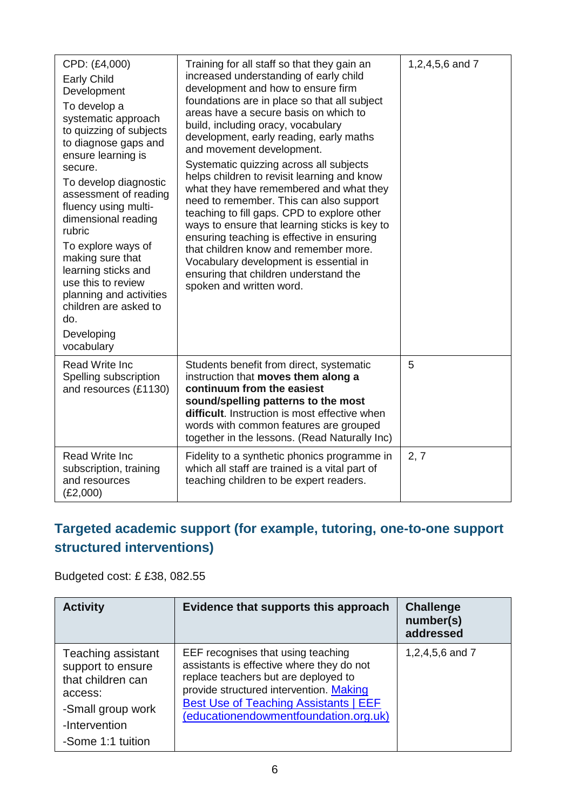| CPD: (£4,000)<br><b>Early Child</b><br>Development<br>To develop a<br>systematic approach<br>to quizzing of subjects<br>to diagnose gaps and<br>ensure learning is<br>secure.<br>To develop diagnostic<br>assessment of reading<br>fluency using multi-<br>dimensional reading<br>rubric<br>To explore ways of<br>making sure that<br>learning sticks and<br>use this to review<br>planning and activities<br>children are asked to<br>do.<br>Developing<br>vocabulary | Training for all staff so that they gain an<br>increased understanding of early child<br>development and how to ensure firm<br>foundations are in place so that all subject<br>areas have a secure basis on which to<br>build, including oracy, vocabulary<br>development, early reading, early maths<br>and movement development.<br>Systematic quizzing across all subjects<br>helps children to revisit learning and know<br>what they have remembered and what they<br>need to remember. This can also support<br>teaching to fill gaps. CPD to explore other<br>ways to ensure that learning sticks is key to<br>ensuring teaching is effective in ensuring<br>that children know and remember more.<br>Vocabulary development is essential in<br>ensuring that children understand the<br>spoken and written word. | 1,2,4,5,6 and 7 |
|------------------------------------------------------------------------------------------------------------------------------------------------------------------------------------------------------------------------------------------------------------------------------------------------------------------------------------------------------------------------------------------------------------------------------------------------------------------------|--------------------------------------------------------------------------------------------------------------------------------------------------------------------------------------------------------------------------------------------------------------------------------------------------------------------------------------------------------------------------------------------------------------------------------------------------------------------------------------------------------------------------------------------------------------------------------------------------------------------------------------------------------------------------------------------------------------------------------------------------------------------------------------------------------------------------|-----------------|
| <b>Read Write Inc</b><br>Spelling subscription<br>and resources (£1130)                                                                                                                                                                                                                                                                                                                                                                                                | Students benefit from direct, systematic<br>instruction that moves them along a<br>continuum from the easiest<br>sound/spelling patterns to the most<br>difficult. Instruction is most effective when<br>words with common features are grouped<br>together in the lessons. (Read Naturally Inc)                                                                                                                                                                                                                                                                                                                                                                                                                                                                                                                         | 5               |
| <b>Read Write Inc</b><br>subscription, training<br>and resources<br>(E2,000)                                                                                                                                                                                                                                                                                                                                                                                           | Fidelity to a synthetic phonics programme in<br>which all staff are trained is a vital part of<br>teaching children to be expert readers.                                                                                                                                                                                                                                                                                                                                                                                                                                                                                                                                                                                                                                                                                | 2, 7            |

## **Targeted academic support (for example, tutoring, one-to-one support structured interventions)**

Budgeted cost: £ £38, 082.55

| <b>Activity</b>                                                                                                                    | Evidence that supports this approach                                                                                                                                                                                                                        | <b>Challenge</b><br>number(s)<br>addressed |
|------------------------------------------------------------------------------------------------------------------------------------|-------------------------------------------------------------------------------------------------------------------------------------------------------------------------------------------------------------------------------------------------------------|--------------------------------------------|
| Teaching assistant<br>support to ensure<br>that children can<br>access:<br>-Small group work<br>-Intervention<br>-Some 1:1 tuition | EEF recognises that using teaching<br>assistants is effective where they do not<br>replace teachers but are deployed to<br>provide structured intervention. Making<br><b>Best Use of Teaching Assistants   EEF</b><br>(educationendowmentfoundation.org.uk) | 1,2,4,5,6 and 7                            |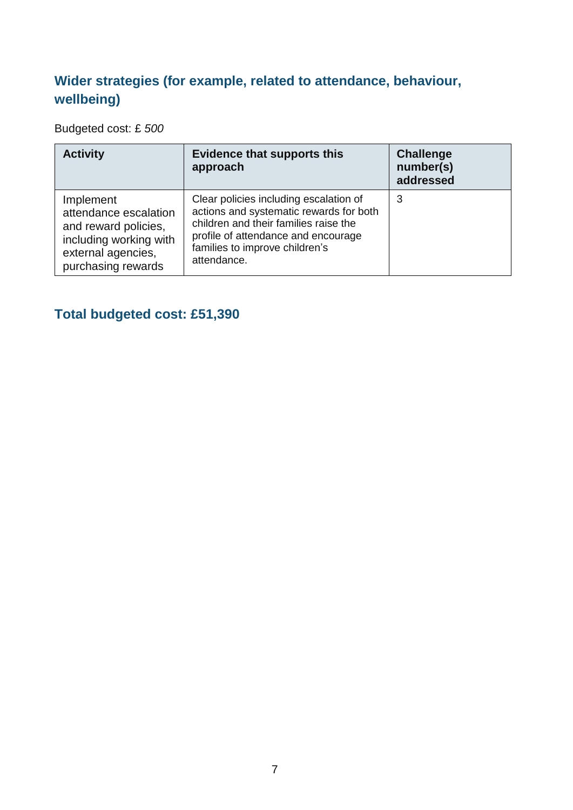#### **Wider strategies (for example, related to attendance, behaviour, wellbeing)**

Budgeted cost: £ *500*

| <b>Activity</b>                                                                                                                  | <b>Evidence that supports this</b><br>approach                                                                                                                                                                     | <b>Challenge</b><br>number(s)<br>addressed |
|----------------------------------------------------------------------------------------------------------------------------------|--------------------------------------------------------------------------------------------------------------------------------------------------------------------------------------------------------------------|--------------------------------------------|
| Implement<br>attendance escalation<br>and reward policies,<br>including working with<br>external agencies,<br>purchasing rewards | Clear policies including escalation of<br>actions and systematic rewards for both<br>children and their families raise the<br>profile of attendance and encourage<br>families to improve children's<br>attendance. | 3                                          |

# **Total budgeted cost: £51,390**